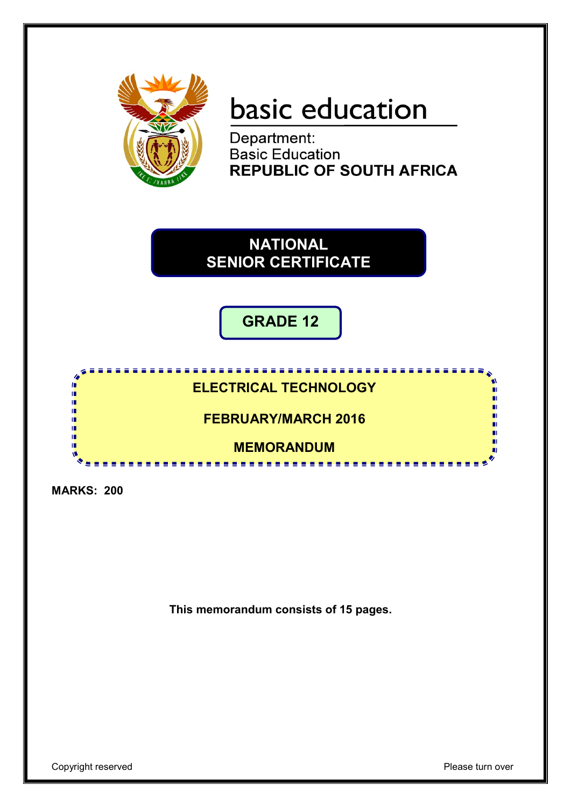

# basic education

Department:<br>Basic Education **REPUBLIC OF SOUTH AFRICA** 

**NATIONAL SENIOR CERTIFICATE**

**GRADE 12**

### **ELECTRICAL TECHNOLOGY**

<u>............</u>

**FEBRUARY/MARCH 2016**

**MEMORANDUM**

<u>........................</u>

**MARKS: 200**

IĖ. 庫 IĖ. ıİ ıń II.

**This memorandum consists of 15 pages.**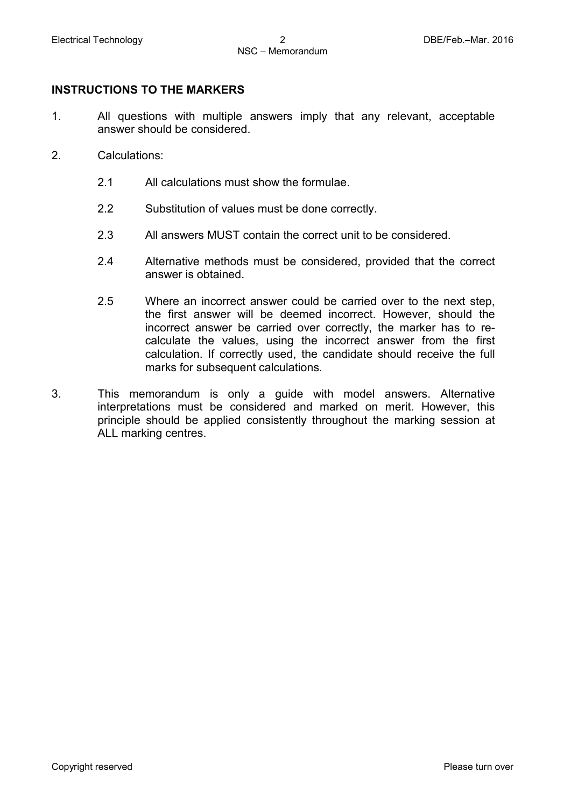#### **INSTRUCTIONS TO THE MARKERS**

- 1. All questions with multiple answers imply that any relevant, acceptable answer should be considered.
- 2. Calculations:
	- 2.1 All calculations must show the formulae.
	- 2.2 Substitution of values must be done correctly.
	- 2.3 All answers MUST contain the correct unit to be considered.
	- 2.4 Alternative methods must be considered, provided that the correct answer is obtained.
	- 2.5 Where an incorrect answer could be carried over to the next step, the first answer will be deemed incorrect. However, should the incorrect answer be carried over correctly, the marker has to recalculate the values, using the incorrect answer from the first calculation. If correctly used, the candidate should receive the full marks for subsequent calculations.
- 3. This memorandum is only a guide with model answers. Alternative interpretations must be considered and marked on merit. However, this principle should be applied consistently throughout the marking session at ALL marking centres.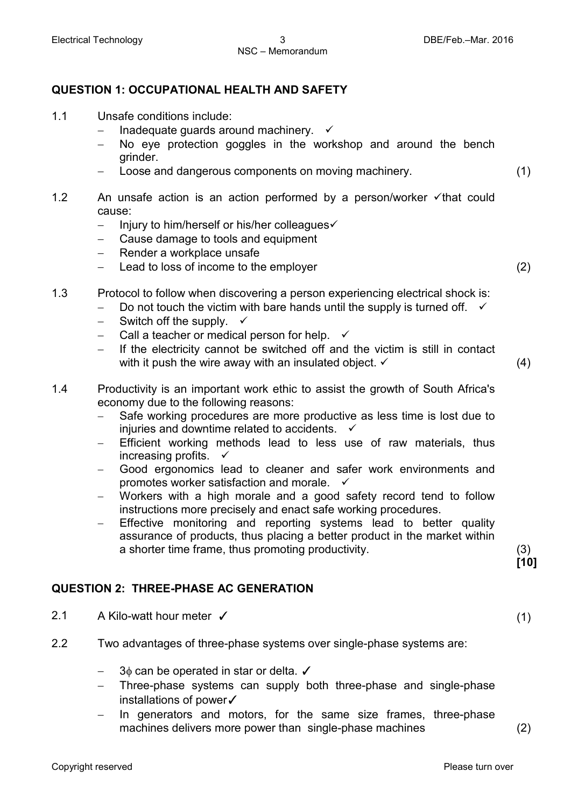#### **QUESTION 1: OCCUPATIONAL HEALTH AND SAFETY**

- 1.1 Unsafe conditions include:
	- Inadequate guards around machinery.  $\checkmark$
	- − No eye protection goggles in the workshop and around the bench grinder.
	- − Loose and dangerous components on moving machinery. (1)
- 1.2 An unsafe action is an action performed by a person/worker  $\checkmark$  that could cause:
	- − Injury to him/herself or his/her colleagues
	- Cause damage to tools and equipment
	- Render a workplace unsafe
	- Lead to loss of income to the employer (2) (2)
- 1.3 Protocol to follow when discovering a person experiencing electrical shock is:
	- Do not touch the victim with bare hands until the supply is turned off.  $\checkmark$
	- Switch off the supply.  $\checkmark$
	- Call a teacher or medical person for help.  $\checkmark$
	- If the electricity cannot be switched off and the victim is still in contact with it push the wire away with an insulated object.  $\checkmark$  (4)
- 1.4 Productivity is an important work ethic to assist the growth of South Africa's economy due to the following reasons:
	- − Safe working procedures are more productive as less time is lost due to injuries and downtime related to accidents.  $\checkmark$
	- − Efficient working methods lead to less use of raw materials, thus increasing profits.  $\checkmark$
	- Good ergonomics lead to cleaner and safer work environments and promotes worker satisfaction and morale.  $\checkmark$
	- Workers with a high morale and a good safety record tend to follow instructions more precisely and enact safe working procedures.
	- Effective monitoring and reporting systems lead to better quality assurance of products, thus placing a better product in the market within a shorter time frame, thus promoting productivity. (3)

#### **QUESTION 2: THREE-PHASE AC GENERATION**

- 2.1 A Kilo-watt hour meter <del>✓</del> (1)
- 2.2 Two advantages of three-phase systems over single-phase systems are:
	- $3\phi$  can be operated in star or delta.  $\checkmark$
	- Three-phase systems can supply both three-phase and single-phase installations of power✓
	- In generators and motors, for the same size frames, three-phase machines delivers more power than single-phase machines (2)

**[10]**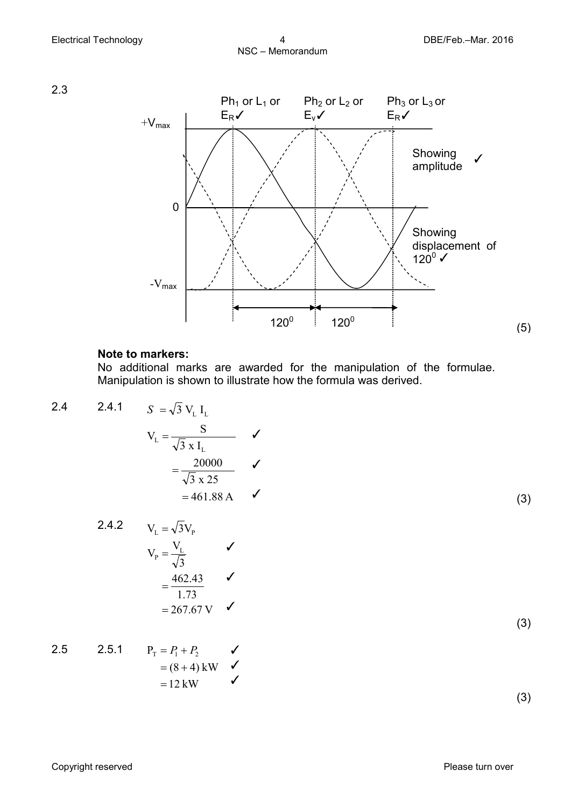



#### **Note to markers:**

No additional marks are awarded for the manipulation of the formulae. Manipulation is shown to illustrate how the formula was derived.

$$
2.4 \qquad 2.4.1
$$

$$
S = \sqrt{3} V_{L} I_{L}
$$
  
\n
$$
V_{L} = \frac{S}{\sqrt{3} \times I_{L}}
$$
  
\n
$$
= \frac{20000}{\sqrt{3} \times 25}
$$
  
\n
$$
= 461.88 \text{ A}
$$
 (3)

2.4.2 
$$
V_L = \sqrt{3}V_P
$$
  
\n $V_P = \frac{V_L}{\sqrt{3}}$ 

2.5 2.5.1 
$$
P_T = P_1 + P_2
$$
   
 = (8 + 4) kW   
 = 12 kW

(3)

(3)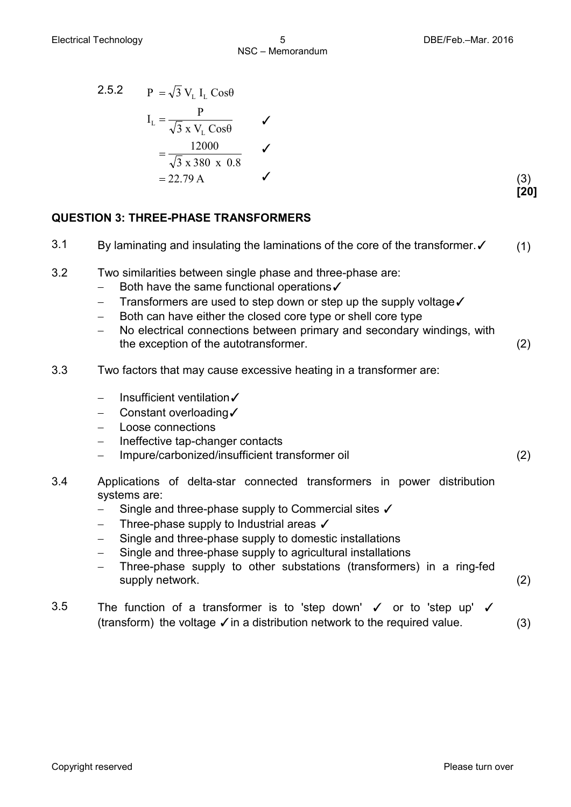2.5.2 
$$
P = \sqrt{3} V_{L} I_{L} \cos \theta
$$
  
\n $I_{L} = \frac{P}{\sqrt{3} \times V_{L} \cos \theta}$   
\n $= \frac{12000}{\sqrt{3} \times 380 \times 0.8}$   
\n= 22.79 A (3)

#### **QUESTION 3: THREE-PHASE TRANSFORMERS**

| 3.1 | By laminating and insulating the laminations of the core of the transformer. $\checkmark$                                                                                                                                                                                                                                                                                                                                                                                                                  | (1) |
|-----|------------------------------------------------------------------------------------------------------------------------------------------------------------------------------------------------------------------------------------------------------------------------------------------------------------------------------------------------------------------------------------------------------------------------------------------------------------------------------------------------------------|-----|
| 3.2 | Two similarities between single phase and three-phase are:<br>Both have the same functional operations√<br>Transformers are used to step down or step up the supply voltage $\checkmark$<br>$\overline{\phantom{m}}$<br>Both can have either the closed core type or shell core type<br>$\qquad \qquad -$<br>No electrical connections between primary and secondary windings, with<br>$\qquad \qquad =$<br>the exception of the autotransformer.                                                          | (2) |
| 3.3 | Two factors that may cause excessive heating in a transformer are:                                                                                                                                                                                                                                                                                                                                                                                                                                         |     |
|     | Insufficient ventilation√<br>$\overline{\phantom{m}}$<br>Constant overloading√<br>$\qquad \qquad -$<br>Loose connections<br>$\qquad \qquad -$<br>Ineffective tap-changer contacts<br>$\overline{\phantom{m}}$<br>Impure/carbonized/insufficient transformer oil<br>$\overline{\phantom{m}}$                                                                                                                                                                                                                | (2) |
| 3.4 | Applications of delta-star connected transformers in power distribution<br>systems are:<br>Single and three-phase supply to Commercial sites √<br>Three-phase supply to Industrial areas √<br>$\qquad \qquad -$<br>Single and three-phase supply to domestic installations<br>$\overline{\phantom{m}}$<br>Single and three-phase supply to agricultural installations<br>$\qquad \qquad -$<br>Three-phase supply to other substations (transformers) in a ring-fed<br>$\qquad \qquad -$<br>supply network. | (2) |
| 3.5 | The function of a transformer is to 'step down' $\checkmark$ or to 'step up' $\checkmark$<br>(transform) the voltage $\checkmark$ in a distribution network to the required value.                                                                                                                                                                                                                                                                                                                         | (3) |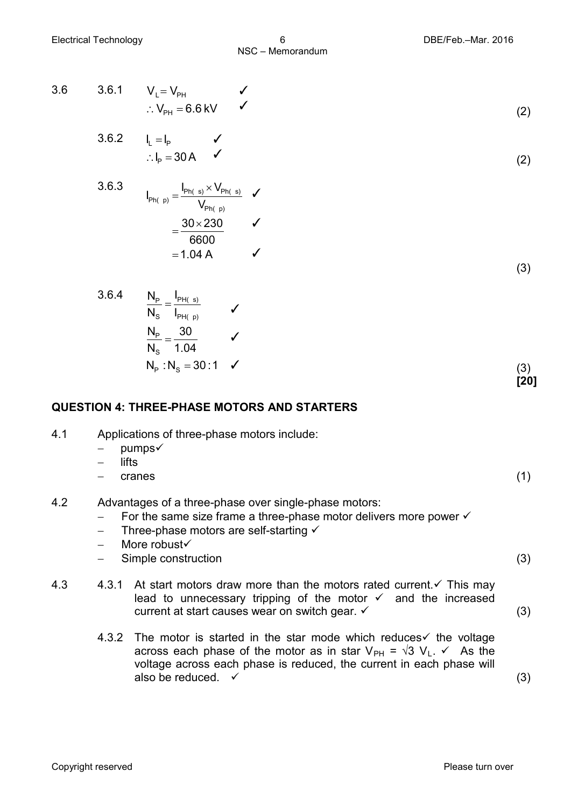3.6 3.6.1 
$$
V_L = V_{PH}
$$
   
\n $\therefore V_{PH} = 6.6 \text{ kV}$  (2)

✓

3.6.2 
$$
I_{L} = I_{P}
$$
 
$$
\therefore I_{P} = 30 A
$$
 (2)

3.6.3 
$$
I_{\text{Ph}(p)} = \frac{I_{\text{Ph}(s)} \times V_{\text{Ph}(s)}}{V_{\text{Ph}(p)}} \quad \checkmark
$$

$$
= \frac{30 \times 230}{6600} \quad \checkmark
$$

 $= 1.04 A$ 

$$
\begin{array}{c}\n(3)\n\end{array}
$$

3.6.4 
$$
\frac{N_{P}}{N_{S}} = \frac{I_{PH(S)}}{I_{PH(P)}}
$$
  
\n
$$
\frac{N_{P}}{N_{S}} = \frac{30}{1.04}
$$
  
\n
$$
N_{P}: N_{S} = 30:1
$$
 (3)  
\n[20]

#### **QUESTION 4: THREE-PHASE MOTORS AND STARTERS**

- 4.1 Applications of three-phase motors include:
	- − pumps
	- − lifts
	- − cranes (1)
- 4.2 Advantages of a three-phase over single-phase motors:
	- For the same size frame a three-phase motor delivers more power  $\checkmark$
	- − Three-phase motors are self-starting
	- − More robust
	- − Simple construction (3)
- 4.3 4.3.1 At start motors draw more than the motors rated current.  $\checkmark$  This may lead to unnecessary tripping of the motor  $\checkmark$  and the increased current at start causes wear on switch gear.  $\checkmark$  (3)
	- 4.3.2 The motor is started in the star mode which reduces  $\checkmark$  the voltage across each phase of the motor as in star  $V_{PH} = \sqrt{3} V_{L}$ .  $\checkmark$  As the voltage across each phase is reduced, the current in each phase will also be reduced.  $\checkmark$  (3)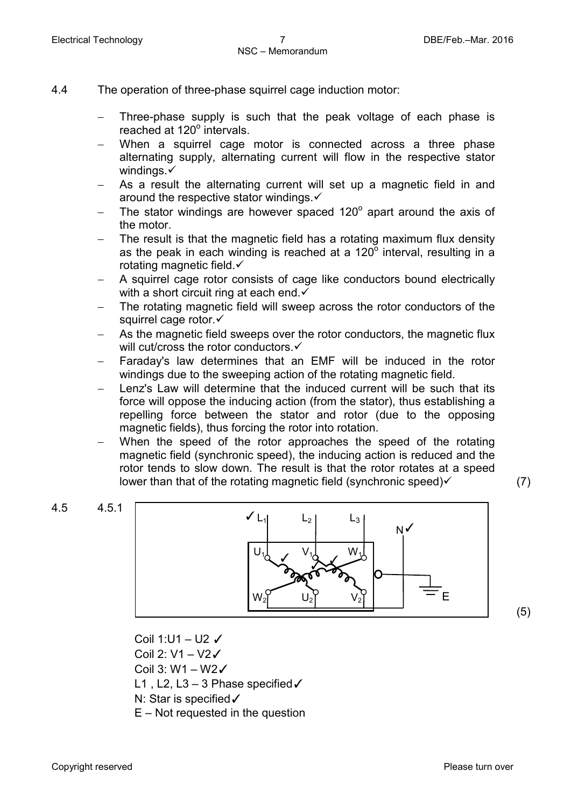- 4.4 The operation of three-phase squirrel cage induction motor:
	- Three-phase supply is such that the peak voltage of each phase is reached at  $120^\circ$  intervals.
	- When a squirrel cage motor is connected across a three phase alternating supply, alternating current will flow in the respective stator windings. $\checkmark$
	- As a result the alternating current will set up a magnetic field in and around the respective stator windings.
	- The stator windings are however spaced  $120^\circ$  apart around the axis of the motor.
	- The result is that the magnetic field has a rotating maximum flux density as the peak in each winding is reached at a  $120^\circ$  interval, resulting in a rotating magnetic field  $\checkmark$
	- A squirrel cage rotor consists of cage like conductors bound electrically with a short circuit ring at each end.
	- The rotating magnetic field will sweep across the rotor conductors of the squirrel cage rotor.
	- As the magnetic field sweeps over the rotor conductors, the magnetic flux will cut/cross the rotor conductors.
	- Faraday's law determines that an EMF will be induced in the rotor windings due to the sweeping action of the rotating magnetic field.
	- Lenz's Law will determine that the induced current will be such that its force will oppose the inducing action (from the stator), thus establishing a repelling force between the stator and rotor (due to the opposing magnetic fields), thus forcing the rotor into rotation.
	- When the speed of the rotor approaches the speed of the rotating magnetic field (synchronic speed), the inducing action is reduced and the rotor tends to slow down. The result is that the rotor rotates at a speed lower than that of the rotating magnetic field (synchronic speed) $\checkmark$  (7)

 $L_2$   $L_3$ 

(5)



 $\checkmark$   $\mathsf L_1$ 

Coil 2: V1 – V2✓ Coil 3: W1 – W2✓ L1, L2, L3 - 3 Phase specified√ N: Star is specified√ E – Not requested in the question

Copyright reserved **Please turn over the Copyright reserved** Please turn over

4.5 4.5.1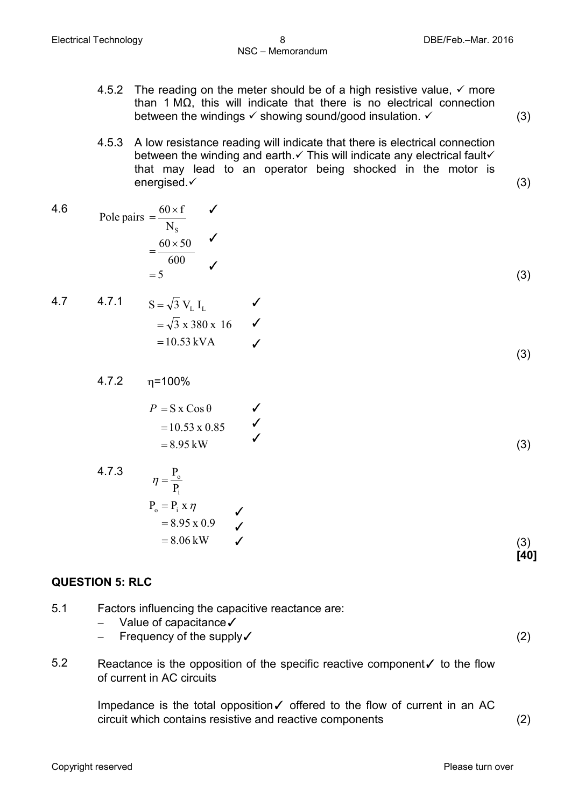(3)

- 4.5.2 The reading on the meter should be of a high resistive value,  $\checkmark$  more than 1 MΩ, this will indicate that there is no electrical connection between the windings  $\checkmark$  showing sound/good insulation.  $\checkmark$  (3)
- 4.5.3 A low resistance reading will indicate that there is electrical connection between the winding and earth. $\checkmark$  This will indicate any electrical fault $\checkmark$ that may lead to an operator being shocked in the motor is energised.  $\checkmark$  (3)

4.6 Pole pairs 
$$
=\frac{60 \times f}{N_s}
$$
  

$$
=\frac{60 \times 50}{600}
$$
 60 (3)

4.7 4.7.1 
$$
S = \sqrt{3} V_{L} I_{L}
$$

$$
\eta = 100\%
$$
  
P = S x Cos θ  
= 10.53 x 0.85  
= 8.95 kW (3)

4.7.3 
$$
\eta = \frac{P_o}{P_i}
$$
  
\n
$$
P_o = P_i x \eta
$$
  
\n= 8.95 x 0.9  
\n= 8.06 kW\n(3)  
\n[40]

#### **QUESTION 5: RLC**

4.7.2

- 5.1 Factors influencing the capacitive reactance are:
	- − Value of capacitance✓
	- − Frequency of the supply✓ (2)
- 5.2 Reactance is the opposition of the specific reactive component✓ to the flow of current in AC circuits

Impedance is the total opposition✓ offered to the flow of current in an AC circuit which contains resistive and reactive components (2)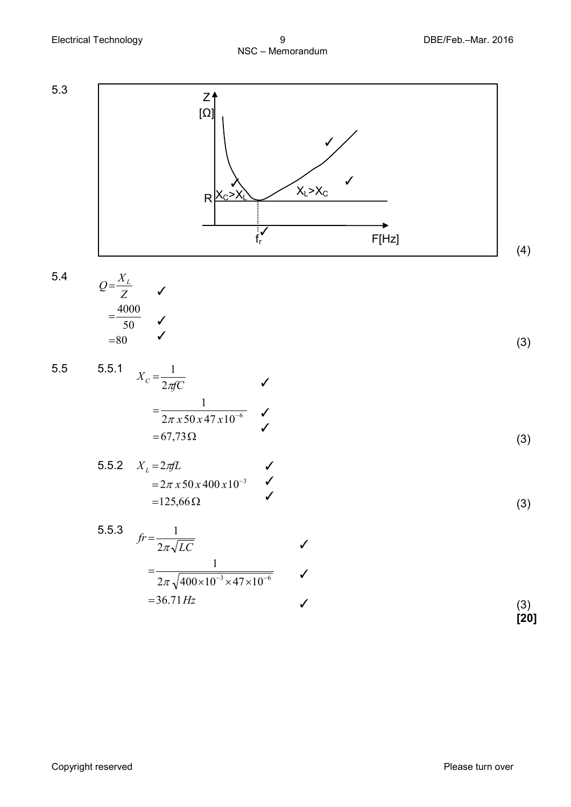

$$
Q = \frac{X_L}{Z} \qquad \qquad \downarrow
$$
  
=\frac{4000}{50} \qquad \qquad \downarrow  
=80 \qquad \qquad \downarrow (3)

5.5 5.5.1

5.4

$$
X_c = \frac{1}{2\pi fC} \qquad \qquad \swarrow
$$
  
=  $\frac{1}{2\pi x 50 x 47 x 10^{-6}} \qquad \swarrow$   
= 67,73 $\Omega$  (3)

5.5.2 
$$
X_L = 2\pi fL
$$
  
=  $2\pi x 50 x 400 x 10^{-3}$    
=  $125,66\Omega$  (3)

5.5.3 
$$
fr = \frac{1}{2\pi\sqrt{LC}}
$$
  
= 
$$
\frac{1}{2\pi\sqrt{400 \times 10^{-3} \times 47 \times 10^{-6}}}
$$

 $\checkmark$  (3) **[20]**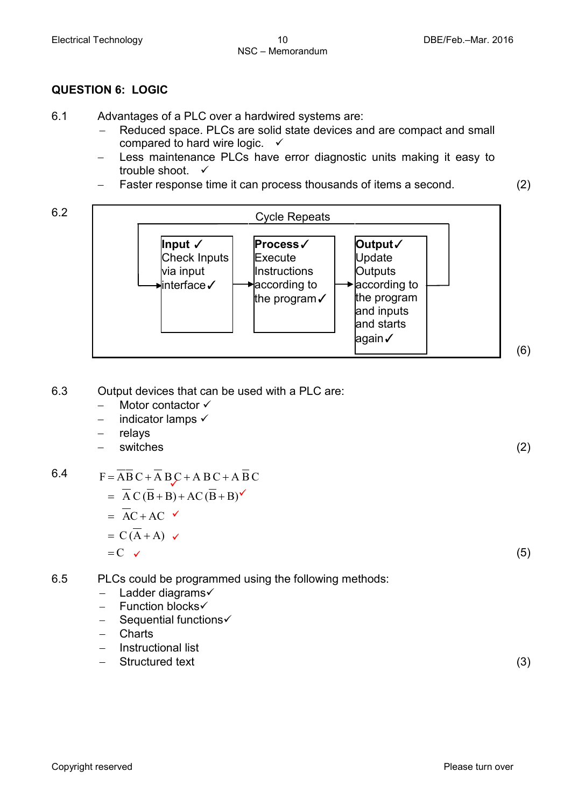#### **QUESTION 6: LOGIC**

- 6.1 Advantages of a PLC over a hardwired systems are:
	- Reduced space. PLCs are solid state devices and are compact and small compared to hard wire logic.  $\checkmark$
	- − Less maintenance PLCs have error diagnostic units making it easy to trouble shoot. ✓
	- − Faster response time it can process thousands of items a second. (2)



- 6.3 Output devices that can be used with a PLC are:
	- − Motor contactor
	- − indicator lamps
	- − relays
	- − switches (2)

6.4  $= A C (B+B) + AC (B+B)$  $F = ABC + ABC + ABC + ABC$  $\checkmark$ ✓

$$
= \overline{AC} + AC \checkmark
$$
  

$$
= C(\overline{A} + A)
$$

$$
= C(\overline{A} + A) \quad \checkmark
$$

$$
=C \quad \checkmark
$$

(5)

- 6.5 PLCs could be programmed using the following methods:
	- − Ladder diagrams
	- − Function blocks
	- − Sequential functions
	- − Charts
	- − Instructional list
	- − Structured text (3)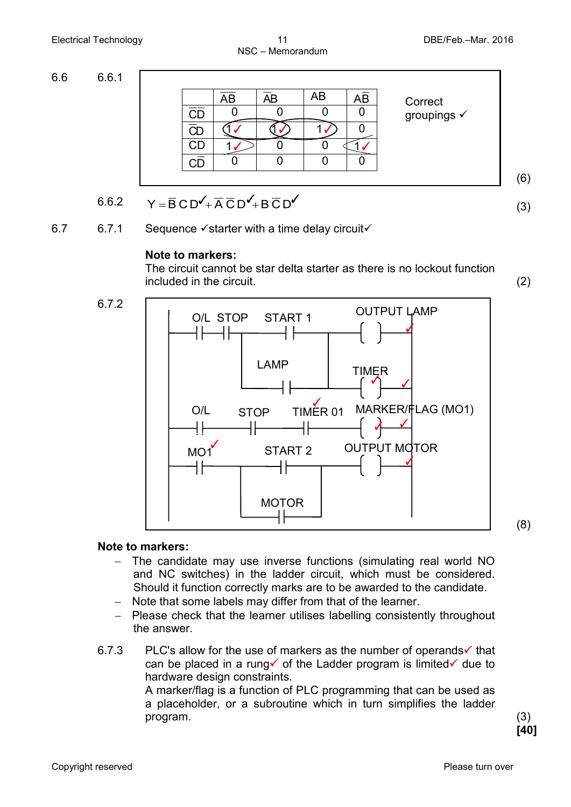**Correct** groupings  $\checkmark$ 

(6)

6.6 6.6.1

|                                          | $\overline{AB}$ | $\overline{AB}$ | <b>AB</b> | A $\bar{\mathsf{B}}$ |
|------------------------------------------|-----------------|-----------------|-----------|----------------------|
| $\overline{\text{CD}}$                   |                 |                 |           |                      |
| $\overline{\overline{\text{C}}\text{C}}$ |                 |                 |           |                      |
| $\overline{CD}$                          |                 |                 |           |                      |
|                                          |                 |                 |           |                      |

6.6.2  $Y = \overline{B} \overline{C} D' + \overline{A} \overline{C} D' + B \overline{C} D'$  (3)

6.7 6.7.1 Sequence  $\checkmark$  starter with a time delay circuit $\checkmark$ 

#### **Note to markers:**

The circuit cannot be star delta starter as there is no lockout function included in the circuit. (2)

6.7.2



**Note to markers:**

- − The candidate may use inverse functions (simulating real world NO and NC switches) in the ladder circuit, which must be considered. Should it function correctly marks are to be awarded to the candidate.
- − Note that some labels may differ from that of the learner.
- − Please check that the learner utilises labelling consistently throughout the answer.
- 6.7.3 PLC's allow for the use of markers as the number of operands  $\checkmark$  that can be placed in a rung of the Ladder program is limited  $\checkmark$  due to hardware design constraints. A marker/flag is a function of PLC programming that can be used as

a placeholder, or a subroutine which in turn simplifies the ladder program. (3)

**[40]**

(8)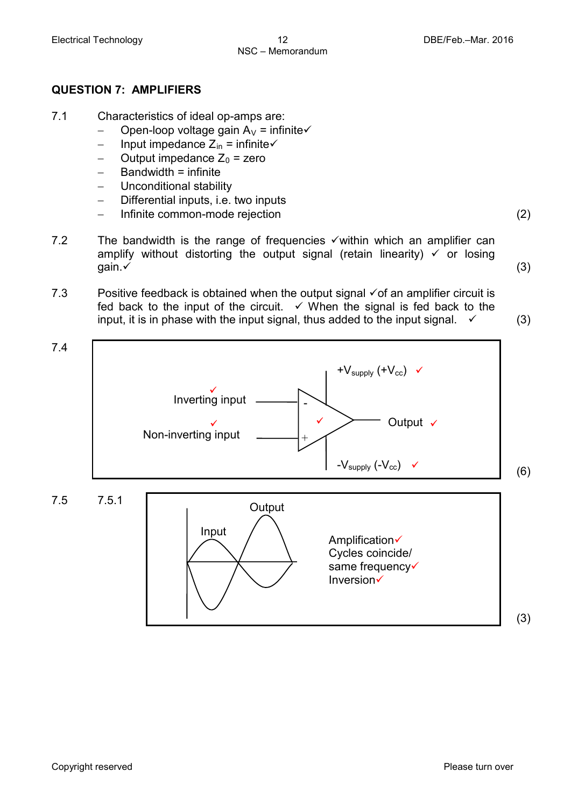#### **QUESTION 7: AMPLIFIERS**

- 7.1 Characteristics of ideal op-amps are:
	- − Open-loop voltage gain  $A_V$  = infinite $\checkmark$
	- − Input impedance Z<sub>in</sub> = infinite
	- $-\quad$  Output impedance  $Z_0$  = zero
	- − Bandwidth = infinite
	- − Unconditional stability
	- − Differential inputs, i.e. two inputs
	- − Infinite common-mode rejection (2)
- 7.2 The bandwidth is the range of frequencies  $\checkmark$  within which an amplifier can amplify without distorting the output signal (retain linearity)  $\checkmark$  or losing gain. $\checkmark$ gain. $\checkmark$  (3)
- 7.3 Positive feedback is obtained when the output signal  $\check{\phantom{a}}$  of an amplifier circuit is fed back to the input of the circuit.  $\checkmark$  When the signal is fed back to the input, it is in phase with the input signal, thus added to the input signal.  $\checkmark$  (3)

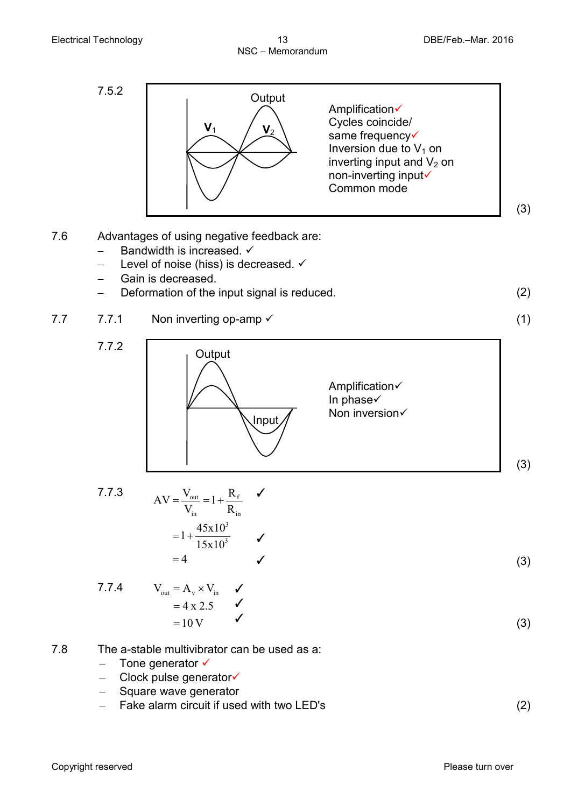

7.7.4  $=10 V$  $= 4 \times 2.5$  $V_{\text{out}} = A_v \times V_{\text{in}}$   $\checkmark$  $\checkmark$  (3)

- 7.8 The a-stable multivibrator can be used as a:
	- − Tone generator
	- − Clock pulse generator
	- − Square wave generator
	- − Fake alarm circuit if used with two LED's (2)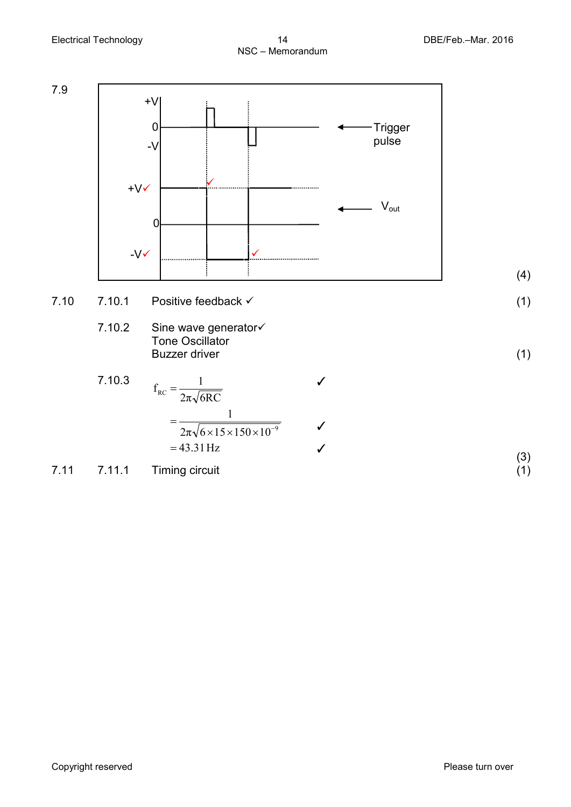